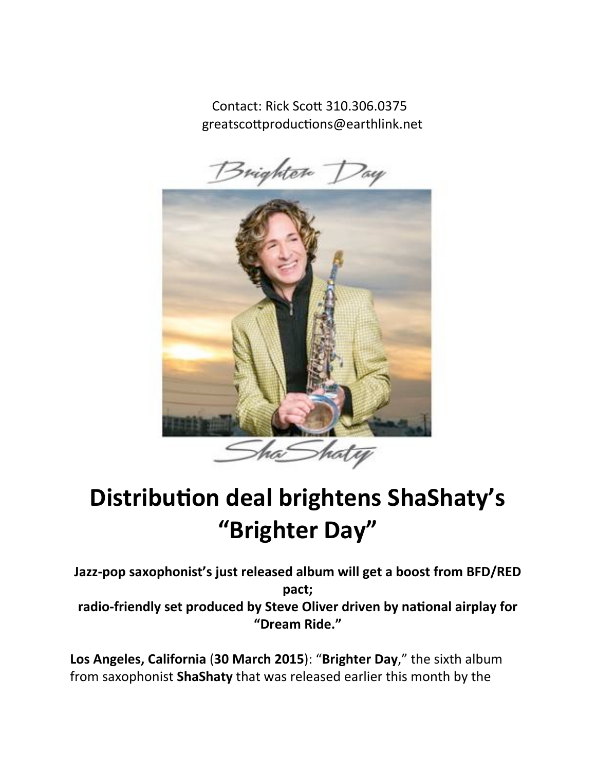Contact: Rick Scott 310.306.0375 greatscottproductions@earthlink.net



## **Distribution deal brightens ShaShaty's "Brighter Day"**

Jazz-pop saxophonist's just released album will get a boost from BFD/RED **pact;** radio-friendly set produced by Steve Oliver driven by national airplay for **"Dream Ride."**

**Los Angeles, California (30 March 2015): "Brighter Day," the sixth album** from saxophonist **ShaShaty** that was released earlier this month by the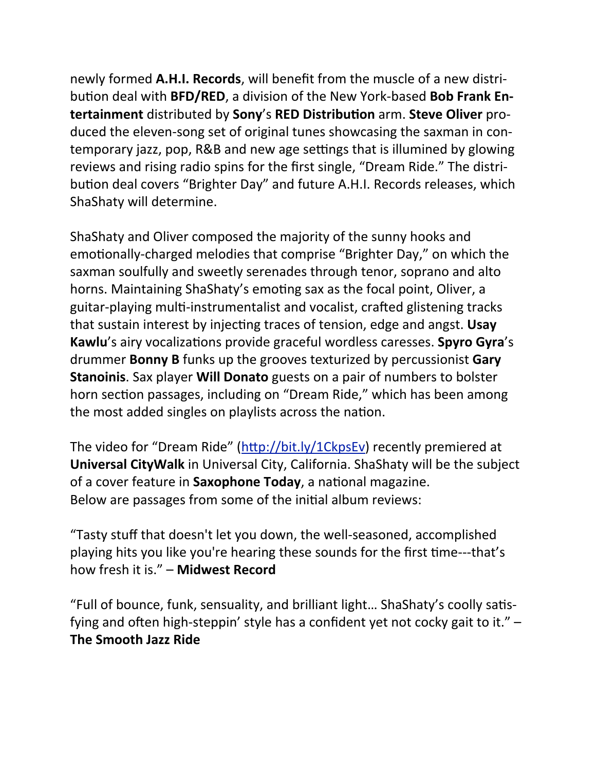newly formed A.H.I. Records, will benefit from the muscle of a new distribution deal with **BFD/RED**, a division of the New York-based **Bob Frank Entertainment** distributed by **Sony**'s **RED Distribution** arm. **Steve Oliver** produced the eleven-song set of original tunes showcasing the saxman in contemporary jazz, pop, R&B and new age settings that is illumined by glowing reviews and rising radio spins for the first single, "Dream Ride." The distribution deal covers "Brighter Day" and future A.H.I. Records releases, which ShaShaty will determine.

ShaShaty and Oliver composed the majority of the sunny hooks and emotionally-charged melodies that comprise "Brighter Day," on which the saxman soulfully and sweetly serenades through tenor, soprano and alto horns. Maintaining ShaShaty's emoting sax as the focal point, Oliver, a guitar-playing multi-instrumentalist and vocalist, crafted glistening tracks that sustain interest by injecting traces of tension, edge and angst. Usay **Kawlu**'s airy vocalizations provide graceful wordless caresses. **Spyro Gyra**'s drummer **Bonny B** funks up the grooves texturized by percussionist **Gary Stanoinis**. Sax player **Will Donato** guests on a pair of numbers to bolster horn section passages, including on "Dream Ride," which has been among the most added singles on playlists across the nation.

The video for "Dream Ride" ( $\frac{http://bit.ly/1CkpsEv}{http://bit.ly/1CkpsEv}$  recently premiered at **Universal CityWalk** in Universal City, California. ShaShaty will be the subject of a cover feature in **Saxophone Today**, a national magazine. Below are passages from some of the initial album reviews:

"Tasty stuff that doesn't let you down, the well-seasoned, accomplished playing hits you like you're hearing these sounds for the first time---that's how fresh it is." – **Midwest Record**

"Full of bounce, funk, sensuality, and brilliant light... ShaShaty's coolly satisfying and often high-steppin' style has a confident yet not cocky gait to it."  $-$ **The Smooth Jazz Ride**